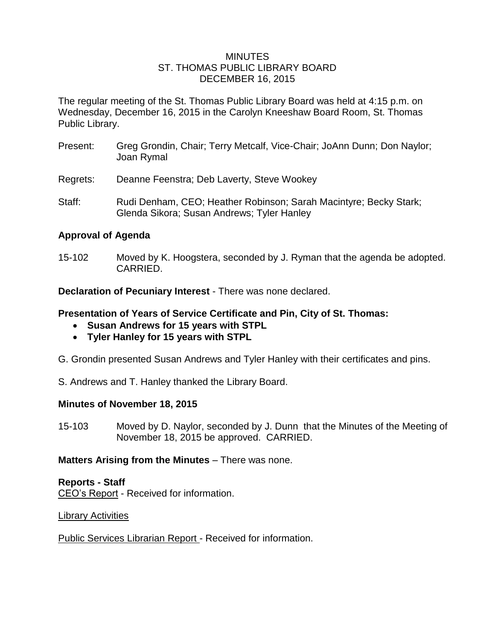#### MINUTES ST. THOMAS PUBLIC LIBRARY BOARD DECEMBER 16, 2015

The regular meeting of the St. Thomas Public Library Board was held at 4:15 p.m. on Wednesday, December 16, 2015 in the Carolyn Kneeshaw Board Room, St. Thomas Public Library.

- Present: Greg Grondin, Chair; Terry Metcalf, Vice-Chair; JoAnn Dunn; Don Naylor; Joan Rymal
- Regrets: Deanne Feenstra; Deb Laverty, Steve Wookey
- Staff: Rudi Denham, CEO; Heather Robinson; Sarah Macintyre; Becky Stark; Glenda Sikora; Susan Andrews; Tyler Hanley

## **Approval of Agenda**

15-102 Moved by K. Hoogstera, seconded by J. Ryman that the agenda be adopted. CARRIED.

**Declaration of Pecuniary Interest** - There was none declared.

## **Presentation of Years of Service Certificate and Pin, City of St. Thomas:**

- **Susan Andrews for 15 years with STPL**
- **Tyler Hanley for 15 years with STPL**
- G. Grondin presented Susan Andrews and Tyler Hanley with their certificates and pins.
- S. Andrews and T. Hanley thanked the Library Board.

## **Minutes of November 18, 2015**

15-103 Moved by D. Naylor, seconded by J. Dunn that the Minutes of the Meeting of November 18, 2015 be approved. CARRIED.

## **Matters Arising from the Minutes** – There was none.

### **Reports - Staff** CEO's Report - Received for information.

## Library Activities

Public Services Librarian Report - Received for information.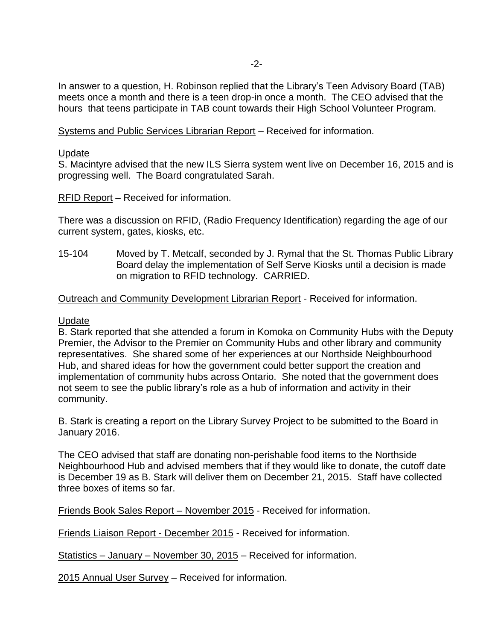In answer to a question, H. Robinson replied that the Library's Teen Advisory Board (TAB) meets once a month and there is a teen drop-in once a month. The CEO advised that the hours that teens participate in TAB count towards their High School Volunteer Program.

Systems and Public Services Librarian Report – Received for information.

#### Update

S. Macintyre advised that the new ILS Sierra system went live on December 16, 2015 and is progressing well. The Board congratulated Sarah.

RFID Report – Received for information.

There was a discussion on RFID, (Radio Frequency Identification) regarding the age of our current system, gates, kiosks, etc.

15-104 Moved by T. Metcalf, seconded by J. Rymal that the St. Thomas Public Library Board delay the implementation of Self Serve Kiosks until a decision is made on migration to RFID technology. CARRIED.

#### Outreach and Community Development Librarian Report - Received for information.

#### Update

B. Stark reported that she attended a forum in Komoka on Community Hubs with the Deputy Premier, the Advisor to the Premier on Community Hubs and other library and community representatives. She shared some of her experiences at our Northside Neighbourhood Hub, and shared ideas for how the government could better support the creation and implementation of community hubs across Ontario. She noted that the government does not seem to see the public library's role as a hub of information and activity in their community.

B. Stark is creating a report on the Library Survey Project to be submitted to the Board in January 2016.

The CEO advised that staff are donating non-perishable food items to the Northside Neighbourhood Hub and advised members that if they would like to donate, the cutoff date is December 19 as B. Stark will deliver them on December 21, 2015. Staff have collected three boxes of items so far.

Friends Book Sales Report – November 2015 - Received for information.

Friends Liaison Report - December 2015 - Received for information.

Statistics – January – November 30, 2015 – Received for information.

2015 Annual User Survey – Received for information.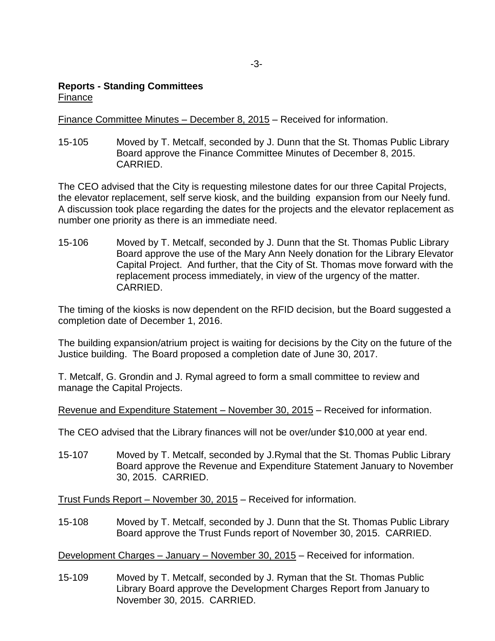## **Reports - Standing Committees** Finance

Finance Committee Minutes – December 8, 2015 – Received for information.

15-105 Moved by T. Metcalf, seconded by J. Dunn that the St. Thomas Public Library Board approve the Finance Committee Minutes of December 8, 2015. CARRIED.

The CEO advised that the City is requesting milestone dates for our three Capital Projects, the elevator replacement, self serve kiosk, and the building expansion from our Neely fund. A discussion took place regarding the dates for the projects and the elevator replacement as number one priority as there is an immediate need.

15-106 Moved by T. Metcalf, seconded by J. Dunn that the St. Thomas Public Library Board approve the use of the Mary Ann Neely donation for the Library Elevator Capital Project. And further, that the City of St. Thomas move forward with the replacement process immediately, in view of the urgency of the matter. CARRIED.

The timing of the kiosks is now dependent on the RFID decision, but the Board suggested a completion date of December 1, 2016.

The building expansion/atrium project is waiting for decisions by the City on the future of the Justice building. The Board proposed a completion date of June 30, 2017.

T. Metcalf, G. Grondin and J. Rymal agreed to form a small committee to review and manage the Capital Projects.

Revenue and Expenditure Statement – November 30, 2015 – Received for information.

The CEO advised that the Library finances will not be over/under \$10,000 at year end.

15-107 Moved by T. Metcalf, seconded by J.Rymal that the St. Thomas Public Library Board approve the Revenue and Expenditure Statement January to November 30, 2015. CARRIED.

Trust Funds Report – November 30, 2015 – Received for information.

15-108 Moved by T. Metcalf, seconded by J. Dunn that the St. Thomas Public Library Board approve the Trust Funds report of November 30, 2015. CARRIED.

Development Charges – January – November 30, 2015 – Received for information.

15-109 Moved by T. Metcalf, seconded by J. Ryman that the St. Thomas Public Library Board approve the Development Charges Report from January to November 30, 2015. CARRIED.